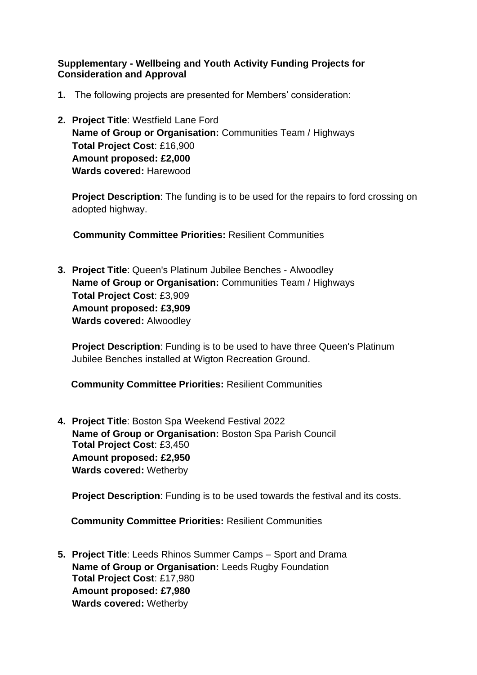## **Supplementary - Wellbeing and Youth Activity Funding Projects for Consideration and Approval**

- **1.** The following projects are presented for Members' consideration:
- **2. Project Title**: Westfield Lane Ford **Name of Group or Organisation:** Communities Team / Highways **Total Project Cost**: £16,900 **Amount proposed: £2,000 Wards covered:** Harewood

**Project Description**: The funding is to be used for the repairs to ford crossing on adopted highway.

 **Community Committee Priorities:** Resilient Communities

**3. Project Title**: Queen's Platinum Jubilee Benches - Alwoodley **Name of Group or Organisation:** Communities Team / Highways **Total Project Cost**: £3,909 **Amount proposed: £3,909 Wards covered:** Alwoodley

**Project Description**: Funding is to be used to have three Queen's Platinum Jubilee Benches installed at Wigton Recreation Ground.

 **Community Committee Priorities:** Resilient Communities

**4. Project Title**: Boston Spa Weekend Festival 2022 **Name of Group or Organisation:** Boston Spa Parish Council **Total Project Cost**: £3,450 **Amount proposed: £2,950 Wards covered:** Wetherby

**Project Description:** Funding is to be used towards the festival and its costs.

 **Community Committee Priorities:** Resilient Communities

**5. Project Title**: Leeds Rhinos Summer Camps – Sport and Drama **Name of Group or Organisation:** Leeds Rugby Foundation **Total Project Cost**: £17,980 **Amount proposed: £7,980 Wards covered:** Wetherby